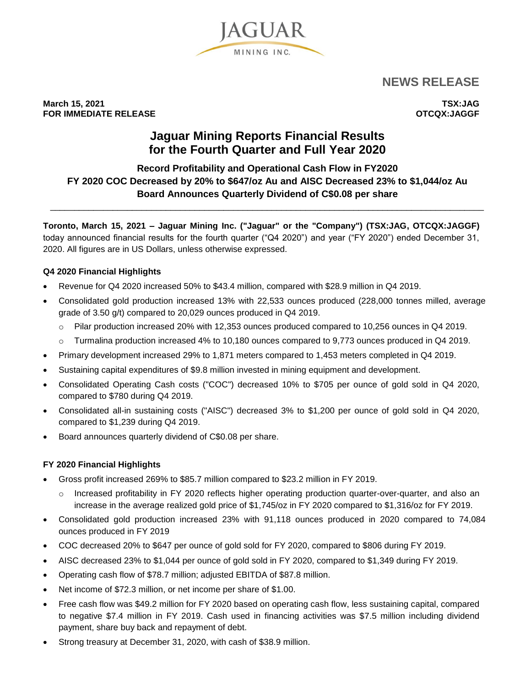

**NEWS RELEASE**

**March 15, 2021 TSX:JAG FOR IMMEDIATE RELEASE** 

# **Jaguar Mining Reports Financial Results for the Fourth Quarter and Full Year 2020**

## **Record Profitability and Operational Cash Flow in FY2020 FY 2020 COC Decreased by 20% to \$647/oz Au and AISC Decreased 23% to \$1,044/oz Au Board Announces Quarterly Dividend of C\$0.08 per share**

\_\_\_\_\_\_\_\_\_\_\_\_\_\_\_\_\_\_\_\_\_\_\_\_\_\_\_\_\_\_\_\_\_\_\_\_\_\_\_\_\_\_\_\_\_\_\_\_\_\_\_\_\_\_\_\_\_\_\_\_\_\_\_\_\_\_\_\_\_\_\_\_\_\_\_\_\_\_\_\_\_\_\_\_\_\_\_\_\_\_

**Toronto, March 15, 2021 – Jaguar Mining Inc. ("Jaguar" or the "Company") (TSX:JAG, OTCQX:JAGGF)** today announced financial results for the fourth quarter ("Q4 2020") and year ("FY 2020") ended December 31, 2020. All figures are in US Dollars, unless otherwise expressed.

## **Q4 2020 Financial Highlights**

- Revenue for Q4 2020 increased 50% to \$43.4 million, compared with \$28.9 million in Q4 2019.
- Consolidated gold production increased 13% with 22,533 ounces produced (228,000 tonnes milled, average grade of 3.50 g/t) compared to 20,029 ounces produced in Q4 2019.
	- o Pilar production increased 20% with 12,353 ounces produced compared to 10,256 ounces in Q4 2019.
	- o Turmalina production increased 4% to 10,180 ounces compared to 9,773 ounces produced in Q4 2019.
- Primary development increased 29% to 1,871 meters compared to 1,453 meters completed in Q4 2019.
- Sustaining capital expenditures of \$9.8 million invested in mining equipment and development.
- Consolidated Operating Cash costs ("COC") decreased 10% to \$705 per ounce of gold sold in Q4 2020, compared to \$780 during Q4 2019.
- Consolidated all-in sustaining costs ("AISC") decreased 3% to \$1,200 per ounce of gold sold in Q4 2020, compared to \$1,239 during Q4 2019.
- Board announces quarterly dividend of C\$0.08 per share.

## **FY 2020 Financial Highlights**

- Gross profit increased 269% to \$85.7 million compared to \$23.2 million in FY 2019.
	- $\circ$  Increased profitability in FY 2020 reflects higher operating production quarter-over-quarter, and also an increase in the average realized gold price of \$1,745/oz in FY 2020 compared to \$1,316/oz for FY 2019.
- Consolidated gold production increased 23% with 91,118 ounces produced in 2020 compared to 74,084 ounces produced in FY 2019
- COC decreased 20% to \$647 per ounce of gold sold for FY 2020, compared to \$806 during FY 2019.
- AISC decreased 23% to \$1,044 per ounce of gold sold in FY 2020, compared to \$1,349 during FY 2019.
- Operating cash flow of \$78.7 million; adjusted EBITDA of \$87.8 million.
- Net income of \$72.3 million, or net income per share of \$1.00.
- Free cash flow was \$49.2 million for FY 2020 based on operating cash flow, less sustaining capital, compared to negative \$7.4 million in FY 2019. Cash used in financing activities was \$7.5 million including dividend payment, share buy back and repayment of debt.
- Strong treasury at December 31, 2020, with cash of \$38.9 million.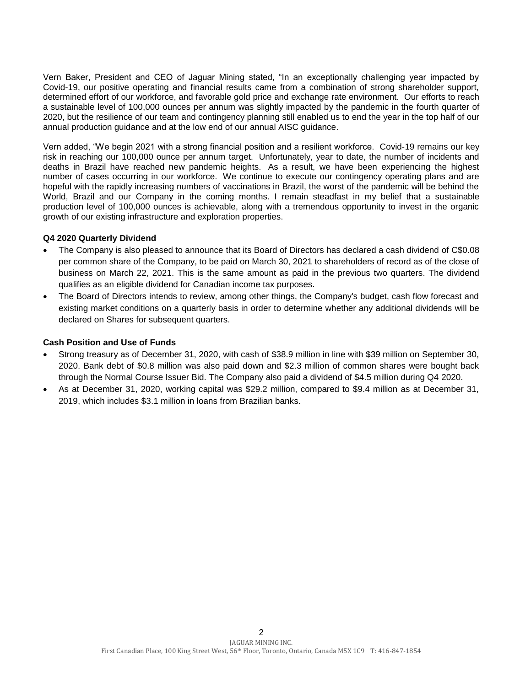Vern Baker, President and CEO of Jaguar Mining stated, "In an exceptionally challenging year impacted by Covid-19, our positive operating and financial results came from a combination of strong shareholder support, determined effort of our workforce, and favorable gold price and exchange rate environment. Our efforts to reach a sustainable level of 100,000 ounces per annum was slightly impacted by the pandemic in the fourth quarter of 2020, but the resilience of our team and contingency planning still enabled us to end the year in the top half of our annual production guidance and at the low end of our annual AISC guidance.

Vern added, "We begin 2021 with a strong financial position and a resilient workforce. Covid-19 remains our key risk in reaching our 100,000 ounce per annum target. Unfortunately, year to date, the number of incidents and deaths in Brazil have reached new pandemic heights. As a result, we have been experiencing the highest number of cases occurring in our workforce. We continue to execute our contingency operating plans and are hopeful with the rapidly increasing numbers of vaccinations in Brazil, the worst of the pandemic will be behind the World, Brazil and our Company in the coming months. I remain steadfast in my belief that a sustainable production level of 100,000 ounces is achievable, along with a tremendous opportunity to invest in the organic growth of our existing infrastructure and exploration properties.

## **Q4 2020 Quarterly Dividend**

- The Company is also pleased to announce that its Board of Directors has declared a cash dividend of C\$0.08 per common share of the Company, to be paid on March 30, 2021 to shareholders of record as of the close of business on March 22, 2021. This is the same amount as paid in the previous two quarters. The dividend qualifies as an eligible dividend for Canadian income tax purposes.
- The Board of Directors intends to review, among other things, the Company's budget, cash flow forecast and existing market conditions on a quarterly basis in order to determine whether any additional dividends will be declared on Shares for subsequent quarters.

#### **Cash Position and Use of Funds**

- Strong treasury as of December 31, 2020, with cash of \$38.9 million in line with \$39 million on September 30, 2020. Bank debt of \$0.8 million was also paid down and \$2.3 million of common shares were bought back through the Normal Course Issuer Bid. The Company also paid a dividend of \$4.5 million during Q4 2020.
- As at December 31, 2020, working capital was \$29.2 million, compared to \$9.4 million as at December 31, 2019, which includes \$3.1 million in loans from Brazilian banks.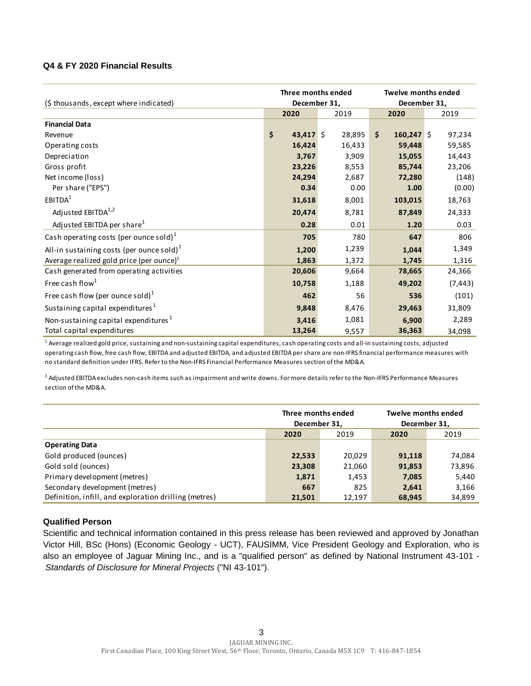#### **Q4 & FY 2020 Financial Results**

| (\$ thousands, except where indicated)               | Three months ended<br>December 31, |        | <b>Twelve months ended</b><br>December 31, |          |
|------------------------------------------------------|------------------------------------|--------|--------------------------------------------|----------|
|                                                      | 2020                               | 2019   | 2020                                       | 2019     |
| <b>Financial Data</b>                                |                                    |        |                                            |          |
| Revenue                                              | \$<br>43,417 \$                    | 28,895 | \$<br>$160,247$ \$                         | 97,234   |
| Operating costs                                      | 16,424                             | 16,433 | 59,448                                     | 59,585   |
| Depreciation                                         | 3,767                              | 3,909  | 15,055                                     | 14,443   |
| Gross profit                                         | 23,226                             | 8,553  | 85,744                                     | 23,206   |
| Net income (loss)                                    | 24,294                             | 2,687  | 72,280                                     | (148)    |
| Per share ("EPS")                                    | 0.34                               | 0.00   | 1.00                                       | (0.00)   |
| EBITDA <sup>1</sup>                                  | 31,618                             | 8,001  | 103,015                                    | 18,763   |
| Adjusted EBITDA <sup>1,2</sup>                       | 20,474                             | 8,781  | 87,849                                     | 24,333   |
| Adjusted EBITDA per share <sup>1</sup>               | 0.28                               | 0.01   | 1.20                                       | 0.03     |
| Cash operating costs (per ounce sold) $1$            | 705                                | 780    | 647                                        | 806      |
| All-in sustaining costs (per ounce sold) $1$         | 1,200                              | 1,239  | 1,044                                      | 1,349    |
| Average realized gold price (per ounce) <sup>1</sup> | 1,863                              | 1,372  | 1,745                                      | 1,316    |
| Cash generated from operating activities             | 20,606                             | 9,664  | 78,665                                     | 24,366   |
| Free cash flow <sup>1</sup>                          | 10,758                             | 1,188  | 49,202                                     | (7, 443) |
| Free cash flow (per ounce sold) $1$                  | 462                                | 56     | 536                                        | (101)    |
| Sustaining capital expenditures <sup>1</sup>         | 9,848                              | 8,476  | 29,463                                     | 31,809   |
| Non-sustaining capital expenditures <sup>1</sup>     | 3,416                              | 1,081  | 6,900                                      | 2,289    |
| Total capital expenditures                           | 13,264                             | 9,557  | 36,363                                     | 34,098   |

<sup>1</sup> Average realized gold price, sustaining and non-sustaining capital expenditures, cash operating costs and all-in sustaining costs, adjusted operating cash flow, free cash flow, EBITDA and adjusted EBITDA, and adjusted EBITDA per share are non-IFRS financial performance measures with no standard definition under IFRS. Refer to the Non-IFRS Financial Performance Measures section of the MD&A.

2 Adjusted EBITDA excludes non-cash items such as impairment and write downs. For more details refer to the Non-IFRS Performance Measures section of the MD&A.

|                                                       | Three months ended<br>December 31, |        | Twelve months ended<br>December 31, |        |
|-------------------------------------------------------|------------------------------------|--------|-------------------------------------|--------|
|                                                       | 2020                               | 2019   | 2020                                | 2019   |
| <b>Operating Data</b>                                 |                                    |        |                                     |        |
| Gold produced (ounces)                                | 22,533                             | 20,029 | 91,118                              | 74,084 |
| Gold sold (ounces)                                    | 23,308                             | 21,060 | 91,853                              | 73,896 |
| Primary development (metres)                          | 1,871                              | 1,453  | 7,085                               | 5,440  |
| Secondary development (metres)                        | 667                                | 825    | 2,641                               | 3,166  |
| Definition, infill, and exploration drilling (metres) | 21,501                             | 12.197 | 68,945                              | 34,899 |

## **Qualified Person**

Scientific and technical information contained in this press release has been reviewed and approved by Jonathan Victor Hill, BSc (Hons) (Economic Geology - UCT), FAUSIMM, Vice President Geology and Exploration, who is also an employee of Jaguar Mining Inc., and is a "qualified person" as defined by National Instrument 43-101 - *Standards of Disclosure for Mineral Projects* ("NI 43-101").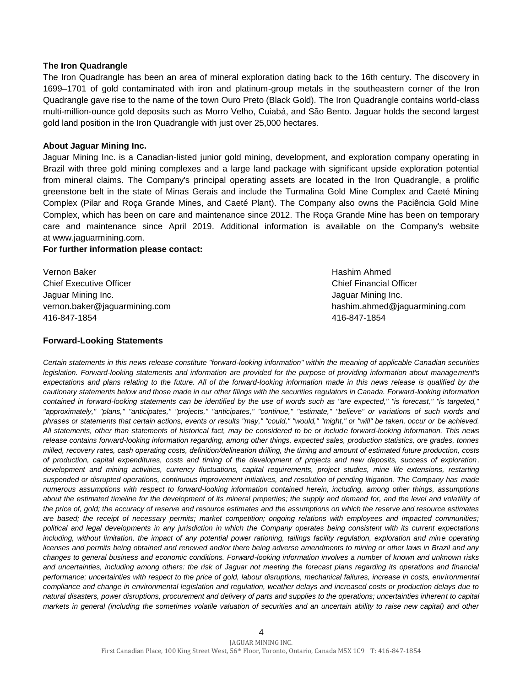#### **The Iron Quadrangle**

The Iron Quadrangle has been an area of mineral exploration dating back to the 16th century. The discovery in 1699–1701 of gold contaminated with iron and platinum-group metals in the southeastern corner of the Iron Quadrangle gave rise to the name of the town Ouro Preto (Black Gold). The Iron Quadrangle contains world-class multi-million-ounce gold deposits such as Morro Velho, Cuiabá, and São Bento. Jaguar holds the second largest gold land position in the Iron Quadrangle with just over 25,000 hectares.

#### **About Jaguar Mining Inc.**

Jaguar Mining Inc. is a Canadian-listed junior gold mining, development, and exploration company operating in Brazil with three gold mining complexes and a large land package with significant upside exploration potential from mineral claims. The Company's principal operating assets are located in the Iron Quadrangle, a prolific greenstone belt in the state of Minas Gerais and include the Turmalina Gold Mine Complex and Caeté Mining Complex (Pilar and Roça Grande Mines, and Caeté Plant). The Company also owns the Paciência Gold Mine Complex, which has been on care and maintenance since 2012. The Roça Grande Mine has been on temporary care and maintenance since April 2019. Additional information is available on the Company's website at www.jaguarmining.com.

#### **For further information please contact:**

| Vernon Baker                   | Hashim Ahmed                   |  |  |
|--------------------------------|--------------------------------|--|--|
| <b>Chief Executive Officer</b> | <b>Chief Financial Officer</b> |  |  |
| Jaguar Mining Inc.             | Jaguar Mining Inc.             |  |  |
| vernon.baker@jaguarmining.com  | hashim.ahmed@jaguarmining.com  |  |  |
| 416-847-1854                   | 416-847-1854                   |  |  |

#### **Forward-Looking Statements**

*Certain statements in this news release constitute "forward-looking information" within the meaning of applicable Canadian securities*  legislation. Forward-looking statements and information are provided for the purpose of providing information about management's expectations and plans relating to the future. All of the forward-looking information made in this news release is qualified by the *cautionary statements below and those made in our other filings with the securities regulators in Canada. Forward-looking information contained in forward-looking statements can be identified by the use of words such as "are expected," "is forecast," "is targeted," "approximately," "plans," "anticipates," "projects," "anticipates," "continue," "estimate," "believe" or variations of such words and phrases or statements that certain actions, events or results "may," "could," "would," "might," or "will" be taken, occur or be achieved. All statements, other than statements of historical fact, may be considered to be or include forward-looking information. This news release contains forward-looking information regarding, among other things, expected sales, production statistics, ore grades, tonnes milled, recovery rates, cash operating costs, definition/delineation drilling, the timing and amount of estimated future production, costs of production, capital expenditures, costs and timing of the development of projects and new deposits, success of exploration, development and mining activities, currency fluctuations, capital requirements, project studies, mine life extensions, restarting suspended or disrupted operations, continuous improvement initiatives, and resolution of pending litigation. The Company has made numerous assumptions with respect to forward-looking information contained herein, including, among other things, assumptions*  about the estimated timeline for the development of its mineral properties; the supply and demand for, and the level and volatility of *the price of, gold; the accuracy of reserve and resource estimates and the assumptions on which the reserve and resource estimates are based; the receipt of necessary permits; market competition; ongoing relations with employees and impacted communities; political and legal developments in any jurisdiction in which the Company operates being consistent with its current expectations including, without limitation, the impact of any potential power rationing, tailings facility regulation, exploration and mine operating licenses and permits being obtained and renewed and/or there being adverse amendments to mining or other laws in Brazil and any changes to general business and economic conditions. Forward-looking information involves a number of known and unknown risks and uncertainties, including among others: the risk of Jaguar not meeting the forecast plans regarding its operations and financial performance; uncertainties with respect to the price of gold, labour disruptions, mechanical failures, increase in costs, environmental compliance and change in environmental legislation and regulation, weather delays and increased costs or production delays due to natural disasters, power disruptions, procurement and delivery of parts and supplies to the operations; uncertainties inherent to capital markets in general (including the sometimes volatile valuation of securities and an uncertain ability to raise new capital) and other*